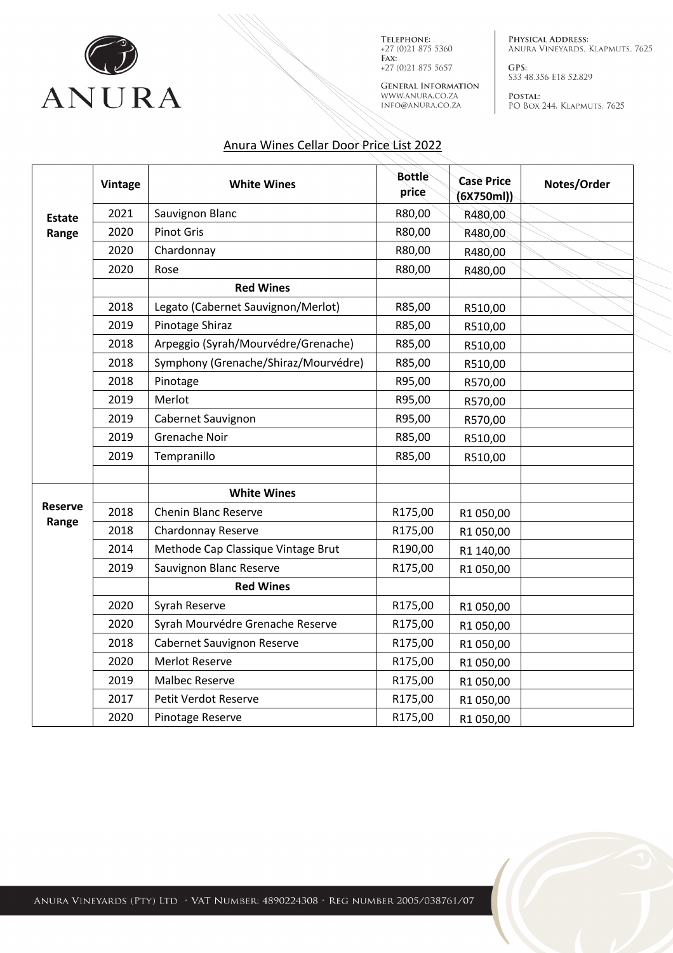

TELEPHONE:  $+27(0)218755360$  $FAX$ :  $+27(0)218755657$ 

**GENERAL INFORMATION** WWW.ANURA.CO.ZA INFO@ANURA.CO.ZA

PHYSICAL ADDRESS: ANURA VINEYARDS, KLAPMUTS, 7625

GPS: S33 48.356 E18 52.829

POSTAL: PO BOX 244, KLAPMUTS, 7625

## Anura Wines Cellar Door Price List 2022

|                        | <b>Vintage</b> | <b>White Wines</b>                   | <b>Bottle</b><br>price | <b>Case Price</b><br>(6X750ml) | Notes/Order |
|------------------------|----------------|--------------------------------------|------------------------|--------------------------------|-------------|
| <b>Estate</b><br>Range | 2021           | Sauvignon Blanc                      | R80,00                 | R480,00                        |             |
|                        | 2020           | <b>Pinot Gris</b>                    | R80,00                 | R480,00                        |             |
|                        | 2020           | Chardonnay                           | R80,00                 | R480,00                        |             |
|                        | 2020           | Rose                                 | R80,00                 | R480,00                        |             |
|                        |                | <b>Red Wines</b>                     |                        |                                |             |
|                        | 2018           | Legato (Cabernet Sauvignon/Merlot)   | R85,00                 | R510,00                        |             |
|                        | 2019           | Pinotage Shiraz                      | R85,00                 | R510,00                        |             |
|                        | 2018           | Arpeggio (Syrah/Mourvédre/Grenache)  | R85,00                 | R510,00                        |             |
|                        | 2018           | Symphony (Grenache/Shiraz/Mourvédre) | R85,00                 | R510,00                        |             |
|                        | 2018           | Pinotage                             | R95,00                 | R570,00                        |             |
|                        | 2019           | Merlot                               | R95,00                 | R570,00                        |             |
|                        | 2019           | Cabernet Sauvignon                   | R95,00                 | R570,00                        |             |
|                        | 2019           | Grenache Noir                        | R85,00                 | R510,00                        |             |
|                        | 2019           | Tempranillo                          | R85,00                 | R510,00                        |             |
|                        |                | <b>White Wines</b>                   |                        |                                |             |
| Reserve<br>Range       | 2018           | <b>Chenin Blanc Reserve</b>          | R175,00                | R1 050,00                      |             |
|                        | 2018           | Chardonnay Reserve                   | R175,00                | R1 050,00                      |             |
|                        | 2014           | Methode Cap Classique Vintage Brut   | R190,00                | R1 140,00                      |             |
|                        | 2019           | Sauvignon Blanc Reserve              | R175,00                | R1 050,00                      |             |
|                        |                | <b>Red Wines</b>                     |                        |                                |             |
|                        | 2020           | Syrah Reserve                        | R175,00                | R1 050,00                      |             |
|                        | 2020           | Syrah Mourvédre Grenache Reserve     | R175,00                | R1 050,00                      |             |
|                        | 2018           | Cabernet Sauvignon Reserve           | R175,00                | R1 050,00                      |             |
|                        | 2020           | <b>Merlot Reserve</b>                | R175,00                | R1 050,00                      |             |
|                        | 2019           | <b>Malbec Reserve</b>                | R175,00                | R1 050,00                      |             |
|                        | 2017           | Petit Verdot Reserve                 | R175,00                | R1 050,00                      |             |
|                        | 2020           | Pinotage Reserve                     | R175,00                | R1 050,00                      |             |